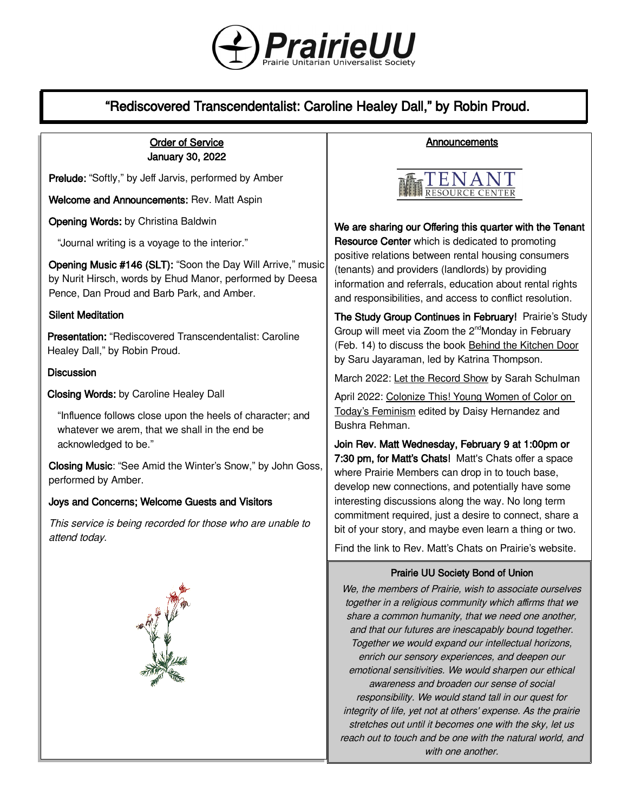

# "Rediscovered Transcendentalist: Caroline Healey Dall," by Robin Proud.

# Order of Service January 30, 2022

Prelude: "Softly," by Jeff Jarvis, performed by Amber

Welcome and Announcements: Rev. Matt Aspin

Opening Words: by Christina Baldwin

"Journal writing is a voyage to the interior."

Opening Music #146 (SLT): "Soon the Day Will Arrive," music by Nurit Hirsch, words by Ehud Manor, performed by Deesa Pence, Dan Proud and Barb Park, and Amber.

#### Silent Meditation

Presentation: "Rediscovered Transcendentalist: Caroline Healey Dall," by Robin Proud.

#### **Discussion**

Closing Words: by Caroline Healey Dall

"Influence follows close upon the heels of character; and whatever we arem, that we shall in the end be acknowledged to be."

Closing Music: "See Amid the Winter's Snow," by John Goss, performed by Amber.

## Joys and Concerns; Welcome Guests and Visitors

This service is being recorded for those who are unable to attend today.







We are sharing our Offering this quarter with the Tenant Resource Center which is dedicated to promoting positive relations between rental housing consumers (tenants) and providers (landlords) by providing information and referrals, education about rental rights and responsibilities, and access to conflict resolution.

The Study Group Continues in February! Prairie's Study Group will meet via Zoom the 2<sup>nd</sup>Monday in February (Feb. 14) to discuss the book Behind the Kitchen Door by Saru Jayaraman, led by Katrina Thompson.

March 2022: Let the Record Show by Sarah Schulman

April 2022: Colonize This! Young Women of Color on Today's Feminism edited by Daisy Hernandez and Bushra Rehman.

Join Rev. Matt Wednesday, February 9 at 1:00pm or 7:30 pm, for Matt's Chats! Matt's Chats offer a space where Prairie Members can drop in to touch base, develop new connections, and potentially have some interesting discussions along the way. No long term commitment required, just a desire to connect, share a bit of your story, and maybe even learn a thing or two.

Find the link to Rev. Matt's Chats [on Prairie's website](https://uuprairie.org/).

#### Prairie UU Society Bond of Union

We, the members of Prairie, wish to associate ourselves together in a religious community which affirms that we share a common humanity, that we need one another, and that our futures are inescapably bound together. Together we would expand our intellectual horizons, enrich our sensory experiences, and deepen our emotional sensitivities. We would sharpen our ethical awareness and broaden our sense of social responsibility. We would stand tall in our quest for integrity of life, yet not at others' expense. As the prairie stretches out until it becomes one with the sky, let us reach out to touch and be one with the natural world, and with one another.